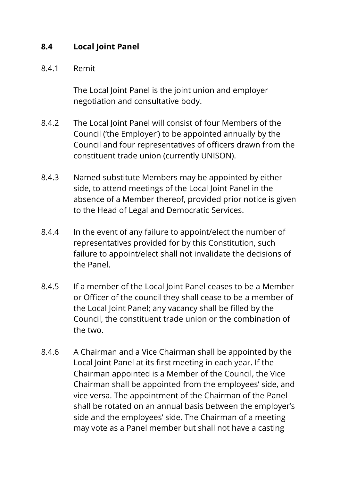## **8.4 Local Joint Panel**

## 8.4.1 Remit

The Local Joint Panel is the joint union and employer negotiation and consultative body.

- 8.4.2 The Local Joint Panel will consist of four Members of the Council ('the Employer') to be appointed annually by the Council and four representatives of officers drawn from the constituent trade union (currently UNISON).
- 8.4.3 Named substitute Members may be appointed by either side, to attend meetings of the Local Joint Panel in the absence of a Member thereof, provided prior notice is given to the Head of Legal and Democratic Services.
- 8.4.4 In the event of any failure to appoint/elect the number of representatives provided for by this Constitution, such failure to appoint/elect shall not invalidate the decisions of the Panel.
- 8.4.5 If a member of the Local Joint Panel ceases to be a Member or Officer of the council they shall cease to be a member of the Local Joint Panel; any vacancy shall be filled by the Council, the constituent trade union or the combination of the two.
- 8.4.6 A Chairman and a Vice Chairman shall be appointed by the Local Joint Panel at its first meeting in each year. If the Chairman appointed is a Member of the Council, the Vice Chairman shall be appointed from the employees' side, and vice versa. The appointment of the Chairman of the Panel shall be rotated on an annual basis between the employer's side and the employees' side. The Chairman of a meeting may vote as a Panel member but shall not have a casting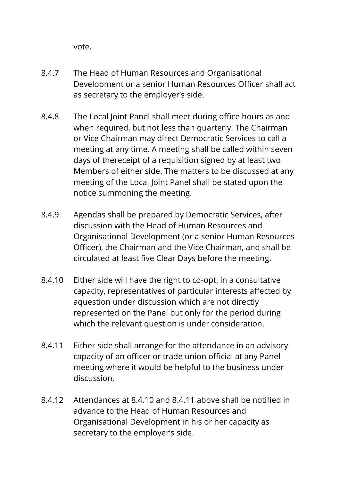vote.

- 8.4.7 The Head of Human Resources and Organisational Development or a senior Human Resources Officer shall act as secretary to the employer's side.
- 8.4.8 The Local Joint Panel shall meet during office hours as and when required, but not less than quarterly. The Chairman or Vice Chairman may direct Democratic Services to call a meeting at any time. A meeting shall be called within seven days of thereceipt of a requisition signed by at least two Members of either side. The matters to be discussed at any meeting of the Local Joint Panel shall be stated upon the notice summoning the meeting.
- 8.4.9 Agendas shall be prepared by Democratic Services, after discussion with the Head of Human Resources and Organisational Development (or a senior Human Resources Officer), the Chairman and the Vice Chairman, and shall be circulated at least five Clear Days before the meeting.
- 8.4.10 Either side will have the right to co-opt, in a consultative capacity, representatives of particular interests affected by aquestion under discussion which are not directly represented on the Panel but only for the period during which the relevant question is under consideration.
- 8.4.11 Either side shall arrange for the attendance in an advisory capacity of an officer or trade union official at any Panel meeting where it would be helpful to the business under discussion.
- 8.4.12 Attendances at 8.4.10 and 8.4.11 above shall be notified in advance to the Head of Human Resources and Organisational Development in his or her capacity as secretary to the employer's side.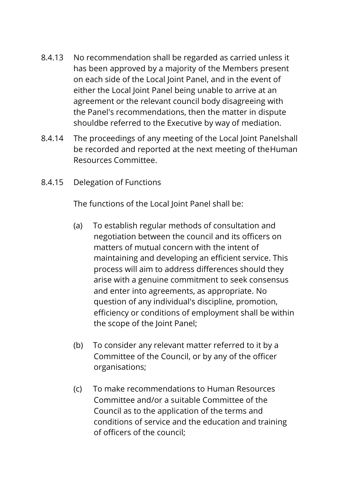- 8.4.13 No recommendation shall be regarded as carried unless it has been approved by a majority of the Members present on each side of the Local Joint Panel, and in the event of either the Local Joint Panel being unable to arrive at an agreement or the relevant council body disagreeing with the Panel's recommendations, then the matter in dispute shouldbe referred to the Executive by way of mediation.
- 8.4.14 The proceedings of any meeting of the Local Joint Panelshall be recorded and reported at the next meeting of theHuman Resources Committee.
- 8.4.15 Delegation of Functions

The functions of the Local Joint Panel shall be:

- (a) To establish regular methods of consultation and negotiation between the council and its officers on matters of mutual concern with the intent of maintaining and developing an efficient service. This process will aim to address differences should they arise with a genuine commitment to seek consensus and enter into agreements, as appropriate. No question of any individual's discipline, promotion, efficiency or conditions of employment shall be within the scope of the Joint Panel;
- (b) To consider any relevant matter referred to it by a Committee of the Council, or by any of the officer organisations;
- (c) To make recommendations to Human Resources Committee and/or a suitable Committee of the Council as to the application of the terms and conditions of service and the education and training of officers of the council;